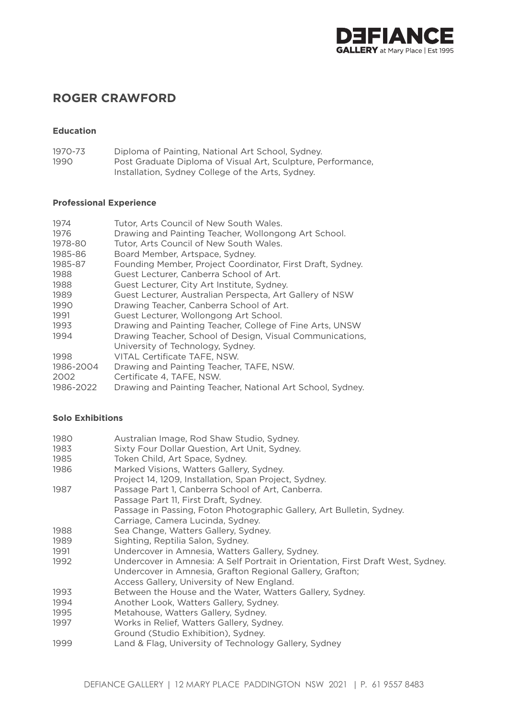

# **ROGER CRAWFORD**

# **Education**

1970-73 Diploma of Painting, National Art School, Sydney.<br>1990 Post Graduate Diploma of Visual Art. Sculpture. Pe Post Graduate Diploma of Visual Art, Sculpture, Performance, Installation, Sydney College of the Arts, Sydney.

# **Professional Experience**

| 1974      | Tutor, Arts Council of New South Wales.                    |
|-----------|------------------------------------------------------------|
| 1976      | Drawing and Painting Teacher, Wollongong Art School.       |
| 1978-80   | Tutor, Arts Council of New South Wales.                    |
| 1985-86   | Board Member, Artspace, Sydney.                            |
| 1985-87   | Founding Member, Project Coordinator, First Draft, Sydney. |
| 1988      | Guest Lecturer, Canberra School of Art.                    |
| 1988      | Guest Lecturer, City Art Institute, Sydney.                |
| 1989      | Guest Lecturer, Australian Perspecta, Art Gallery of NSW   |
| 1990      | Drawing Teacher, Canberra School of Art.                   |
| 1991      | Guest Lecturer, Wollongong Art School.                     |
| 1993      | Drawing and Painting Teacher, College of Fine Arts, UNSW   |
| 1994      | Drawing Teacher, School of Design, Visual Communications,  |
|           | University of Technology, Sydney.                          |
| 1998      | VITAL Certificate TAFE, NSW.                               |
| 1986-2004 | Drawing and Painting Teacher, TAFE, NSW.                   |
| 2002      | Certificate 4, TAFE, NSW.                                  |
| 1986-2022 | Drawing and Painting Teacher, National Art School, Sydney. |

# **Solo Exhibitions**

| 1980 | Australian Image, Rod Shaw Studio, Sydney.                                       |
|------|----------------------------------------------------------------------------------|
| 1983 | Sixty Four Dollar Question, Art Unit, Sydney.                                    |
| 1985 | Token Child, Art Space, Sydney.                                                  |
| 1986 | Marked Visions, Watters Gallery, Sydney.                                         |
|      | Project 14, 1209, Installation, Span Project, Sydney.                            |
| 1987 | Passage Part 1, Canberra School of Art, Canberra.                                |
|      | Passage Part 11, First Draft, Sydney.                                            |
|      | Passage in Passing, Foton Photographic Gallery, Art Bulletin, Sydney.            |
|      | Carriage, Camera Lucinda, Sydney.                                                |
| 1988 | Sea Change, Watters Gallery, Sydney.                                             |
| 1989 | Sighting, Reptilia Salon, Sydney.                                                |
| 1991 | Undercover in Amnesia, Watters Gallery, Sydney.                                  |
| 1992 | Undercover in Amnesia: A Self Portrait in Orientation, First Draft West, Sydney. |
|      | Undercover in Amnesia, Grafton Regional Gallery, Grafton;                        |
|      | Access Gallery, University of New England.                                       |
| 1993 | Between the House and the Water, Watters Gallery, Sydney.                        |
| 1994 | Another Look, Watters Gallery, Sydney.                                           |
| 1995 | Metahouse, Watters Gallery, Sydney.                                              |
| 1997 | Works in Relief, Watters Gallery, Sydney.                                        |
|      | Ground (Studio Exhibition), Sydney.                                              |
| 1999 | Land & Flag, University of Technology Gallery, Sydney                            |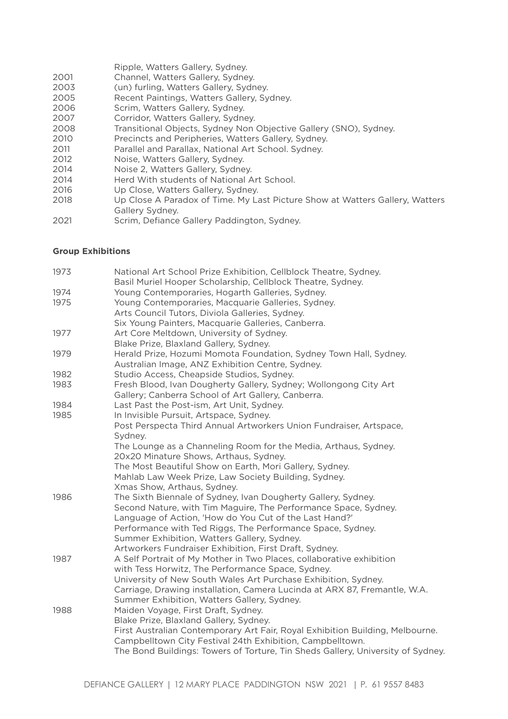- Ripple, Watters Gallery, Sydney.
- 2001 Channel, Watters Gallery, Sydney.
- 2003 (un) furling, Watters Gallery, Sydney.<br>2005 Becent Paintings, Watters Gallery, Sy
- Recent Paintings, Watters Gallery, Sydney.
- 2006 Scrim, Watters Gallery, Sydney.<br>
2007 Corridor, Watters Gallery, Sydne
- 2007 Corridor, Watters Gallery, Sydney.<br>2008 Transitional Objects, Sydney Non
- Transitional Objects, Sydney Non Objective Gallery (SNO), Sydney.
- 2010 Precincts and Peripheries, Watters Gallery, Sydney.
- 2011 Parallel and Parallax, National Art School. Sydney.
- 2012 Noise, Watters Gallery, Sydney.
- 2014 Noise 2, Watters Gallery, Sydney.
- 2014 Herd With students of National Art School.
- 2016 Up Close, Watters Gallery, Sydney.
- 2018 Up Close A Paradox of Time. My Last Picture Show at Watters Gallery, Watters Gallery Sydney.
- 2021 Scrim, Defiance Gallery Paddington, Sydney.

#### **Group Exhibitions**

| 1973 | National Art School Prize Exhibition, Cellblock Theatre, Sydney.<br>Basil Muriel Hooper Scholarship, Cellblock Theatre, Sydney. |
|------|---------------------------------------------------------------------------------------------------------------------------------|
| 1974 | Young Contemporaries, Hogarth Galleries, Sydney.                                                                                |
| 1975 | Young Contemporaries, Macquarie Galleries, Sydney.                                                                              |
|      | Arts Council Tutors, Diviola Galleries, Sydney.                                                                                 |
|      | Six Young Painters, Macquarie Galleries, Canberra.                                                                              |
| 1977 | Art Core Meltdown, University of Sydney.                                                                                        |
|      | Blake Prize, Blaxland Gallery, Sydney.                                                                                          |
| 1979 | Herald Prize, Hozumi Momota Foundation, Sydney Town Hall, Sydney.                                                               |
|      | Australian Image, ANZ Exhibition Centre, Sydney.                                                                                |
| 1982 | Studio Access, Cheapside Studios, Sydney.                                                                                       |
| 1983 | Fresh Blood, Ivan Dougherty Gallery, Sydney; Wollongong City Art                                                                |
|      | Gallery; Canberra School of Art Gallery, Canberra.                                                                              |
| 1984 | Last Past the Post-ism, Art Unit, Sydney.                                                                                       |
| 1985 | In Invisible Pursuit, Artspace, Sydney.                                                                                         |
|      | Post Perspecta Third Annual Artworkers Union Fundraiser, Artspace,<br>Sydney.                                                   |
|      | The Lounge as a Channeling Room for the Media, Arthaus, Sydney.                                                                 |
|      | 20x20 Minature Shows, Arthaus, Sydney.                                                                                          |
|      | The Most Beautiful Show on Earth, Mori Gallery, Sydney.                                                                         |
|      | Mahlab Law Week Prize, Law Society Building, Sydney.                                                                            |
|      | Xmas Show, Arthaus, Sydney.                                                                                                     |
| 1986 | The Sixth Biennale of Sydney, Ivan Dougherty Gallery, Sydney.                                                                   |
|      | Second Nature, with Tim Maguire, The Performance Space, Sydney.                                                                 |
|      | Language of Action, 'How do You Cut of the Last Hand?'                                                                          |
|      | Performance with Ted Riggs, The Performance Space, Sydney.                                                                      |
|      | Summer Exhibition, Watters Gallery, Sydney.                                                                                     |
|      | Artworkers Fundraiser Exhibition, First Draft, Sydney.                                                                          |
| 1987 | A Self Portrait of My Mother in Two Places, collaborative exhibition                                                            |
|      | with Tess Horwitz, The Performance Space, Sydney.                                                                               |
|      | University of New South Wales Art Purchase Exhibition, Sydney.                                                                  |
|      | Carriage, Drawing installation, Camera Lucinda at ARX 87, Fremantle, W.A.<br>Summer Exhibition, Watters Gallery, Sydney.        |
| 1988 | Maiden Voyage, First Draft, Sydney.                                                                                             |
|      | Blake Prize, Blaxland Gallery, Sydney.                                                                                          |
|      | First Australian Contemporary Art Fair, Royal Exhibition Building, Melbourne.                                                   |
|      | Campbelltown City Festival 24th Exhibition, Campbelltown.                                                                       |
|      | The Bond Buildings: Towers of Torture, Tin Sheds Gallery, University of Sydney.                                                 |
|      |                                                                                                                                 |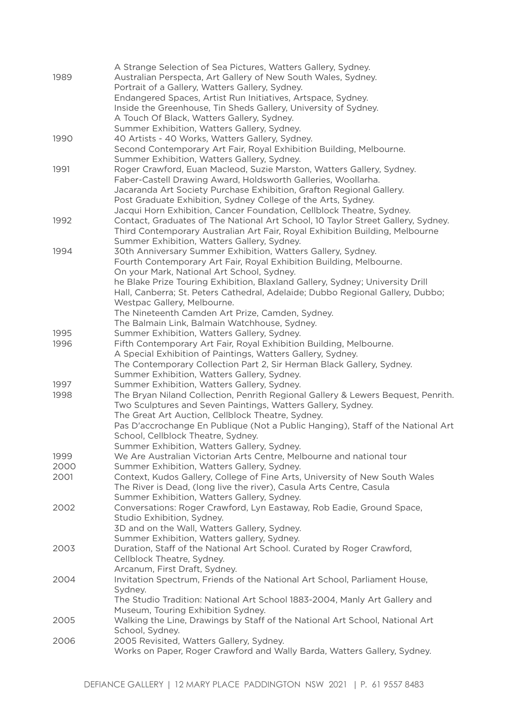| 1989         | A Strange Selection of Sea Pictures, Watters Gallery, Sydney.<br>Australian Perspecta, Art Gallery of New South Wales, Sydney.<br>Portrait of a Gallery, Watters Gallery, Sydney.<br>Endangered Spaces, Artist Run Initiatives, Artspace, Sydney.<br>Inside the Greenhouse, Tin Sheds Gallery, University of Sydney.<br>A Touch Of Black, Watters Gallery, Sydney.<br>Summer Exhibition, Watters Gallery, Sydney.                                                                        |
|--------------|------------------------------------------------------------------------------------------------------------------------------------------------------------------------------------------------------------------------------------------------------------------------------------------------------------------------------------------------------------------------------------------------------------------------------------------------------------------------------------------|
| 1990         | 40 Artists - 40 Works, Watters Gallery, Sydney.<br>Second Contemporary Art Fair, Royal Exhibition Building, Melbourne.<br>Summer Exhibition, Watters Gallery, Sydney.                                                                                                                                                                                                                                                                                                                    |
| 1991         | Roger Crawford, Euan Macleod, Suzie Marston, Watters Gallery, Sydney.<br>Faber-Castell Drawing Award, Holdsworth Galleries, Woollarha.<br>Jacaranda Art Society Purchase Exhibition, Grafton Regional Gallery.<br>Post Graduate Exhibition, Sydney College of the Arts, Sydney.<br>Jacqui Horn Exhibition, Cancer Foundation, Cellblock Theatre, Sydney.                                                                                                                                 |
| 1992         | Contact, Graduates of The National Art School, 10 Taylor Street Gallery, Sydney.<br>Third Contemporary Australian Art Fair, Royal Exhibition Building, Melbourne<br>Summer Exhibition, Watters Gallery, Sydney.                                                                                                                                                                                                                                                                          |
| 1994         | 30th Anniversary Summer Exhibition, Watters Gallery, Sydney.<br>Fourth Contemporary Art Fair, Royal Exhibition Building, Melbourne.<br>On your Mark, National Art School, Sydney.<br>he Blake Prize Touring Exhibition, Blaxland Gallery, Sydney; University Drill<br>Hall, Canberra; St. Peters Cathedral, Adelaide; Dubbo Regional Gallery, Dubbo;<br>Westpac Gallery, Melbourne.<br>The Nineteenth Camden Art Prize, Camden, Sydney.<br>The Balmain Link, Balmain Watchhouse, Sydney. |
| 1995<br>1996 | Summer Exhibition, Watters Gallery, Sydney.<br>Fifth Contemporary Art Fair, Royal Exhibition Building, Melbourne.<br>A Special Exhibition of Paintings, Watters Gallery, Sydney.<br>The Contemporary Collection Part 2, Sir Herman Black Gallery, Sydney.<br>Summer Exhibition, Watters Gallery, Sydney.                                                                                                                                                                                 |
| 1997<br>1998 | Summer Exhibition, Watters Gallery, Sydney.<br>The Bryan Niland Collection, Penrith Regional Gallery & Lewers Bequest, Penrith.<br>Two Sculptures and Seven Paintings, Watters Gallery, Sydney.<br>The Great Art Auction, Cellblock Theatre, Sydney.<br>Pas D'accrochange En Publique (Not a Public Hanging), Staff of the National Art<br>School, Cellblock Theatre, Sydney.<br>Summer Exhibition, Watters Gallery, Sydney.                                                             |
| 1999         | We Are Australian Victorian Arts Centre, Melbourne and national tour                                                                                                                                                                                                                                                                                                                                                                                                                     |
| 2000<br>2001 | Summer Exhibition, Watters Gallery, Sydney.<br>Context, Kudos Gallery, College of Fine Arts, University of New South Wales<br>The River is Dead, (long live the river), Casula Arts Centre, Casula                                                                                                                                                                                                                                                                                       |
| 2002         | Summer Exhibition, Watters Gallery, Sydney.<br>Conversations: Roger Crawford, Lyn Eastaway, Rob Eadie, Ground Space,<br>Studio Exhibition, Sydney.<br>3D and on the Wall, Watters Gallery, Sydney.<br>Summer Exhibition, Watters gallery, Sydney.                                                                                                                                                                                                                                        |
| 2003         | Duration, Staff of the National Art School. Curated by Roger Crawford,<br>Cellblock Theatre, Sydney.<br>Arcanum, First Draft, Sydney.                                                                                                                                                                                                                                                                                                                                                    |
| 2004         | Invitation Spectrum, Friends of the National Art School, Parliament House,<br>Sydney.<br>The Studio Tradition: National Art School 1883-2004, Manly Art Gallery and<br>Museum, Touring Exhibition Sydney.                                                                                                                                                                                                                                                                                |
| 2005         | Walking the Line, Drawings by Staff of the National Art School, National Art<br>School, Sydney.                                                                                                                                                                                                                                                                                                                                                                                          |
| 2006         | 2005 Revisited, Watters Gallery, Sydney.<br>Works on Paper, Roger Crawford and Wally Barda, Watters Gallery, Sydney.                                                                                                                                                                                                                                                                                                                                                                     |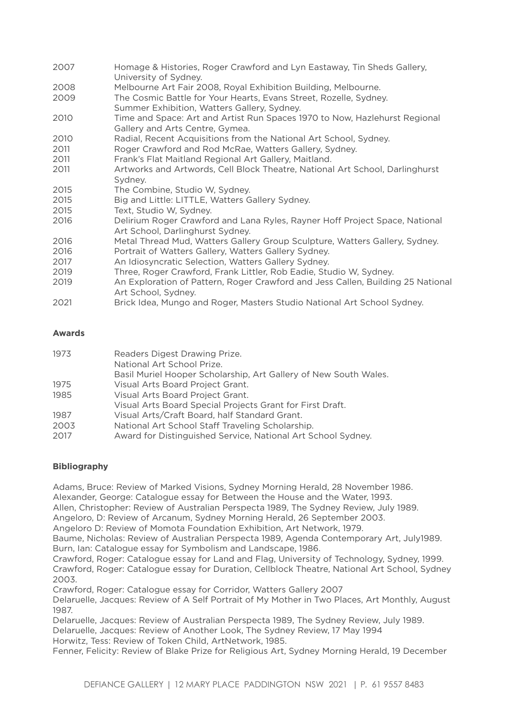| 2007 | Homage & Histories, Roger Crawford and Lyn Eastaway, Tin Sheds Gallery,<br>University of Sydney.                 |
|------|------------------------------------------------------------------------------------------------------------------|
| 2008 | Melbourne Art Fair 2008, Royal Exhibition Building, Melbourne.                                                   |
| 2009 | The Cosmic Battle for Your Hearts, Evans Street, Rozelle, Sydney.<br>Summer Exhibition, Watters Gallery, Sydney. |
| 2010 | Time and Space: Art and Artist Run Spaces 1970 to Now, Hazlehurst Regional<br>Gallery and Arts Centre, Gymea.    |
| 2010 | Radial, Recent Acquisitions from the National Art School, Sydney.                                                |
| 2011 | Roger Crawford and Rod McRae, Watters Gallery, Sydney.                                                           |
| 2011 | Frank's Flat Maitland Regional Art Gallery, Maitland.                                                            |
| 2011 | Artworks and Artwords, Cell Block Theatre, National Art School, Darlinghurst<br>Sydney.                          |
| 2015 | The Combine, Studio W, Sydney.                                                                                   |
| 2015 | Big and Little: LITTLE, Watters Gallery Sydney.                                                                  |
| 2015 | Text, Studio W, Sydney.                                                                                          |
| 2016 | Delirium Roger Crawford and Lana Ryles, Rayner Hoff Project Space, National<br>Art School, Darlinghurst Sydney.  |
| 2016 | Metal Thread Mud, Watters Gallery Group Sculpture, Watters Gallery, Sydney.                                      |
| 2016 | Portrait of Watters Gallery, Watters Gallery Sydney.                                                             |
| 2017 | An Idiosyncratic Selection, Watters Gallery Sydney.                                                              |
| 2019 | Three, Roger Crawford, Frank Littler, Rob Eadie, Studio W, Sydney.                                               |
| 2019 | An Exploration of Pattern, Roger Crawford and Jess Callen, Building 25 National<br>Art School, Sydney.           |
| 2021 | Brick Idea, Mungo and Roger, Masters Studio National Art School Sydney.                                          |

# **Awards**

| 1973 | Readers Digest Drawing Prize.<br>National Art School Prize.      |
|------|------------------------------------------------------------------|
|      | Basil Muriel Hooper Scholarship, Art Gallery of New South Wales. |
| 1975 | Visual Arts Board Project Grant.                                 |
| 1985 | Visual Arts Board Project Grant.                                 |
|      | Visual Arts Board Special Projects Grant for First Draft.        |
| 1987 | Visual Arts/Craft Board, half Standard Grant.                    |
| 2003 | National Art School Staff Traveling Scholarship.                 |
| 2017 | Award for Distinguished Service, National Art School Sydney.     |

# **Bibliography**

Adams, Bruce: Review of Marked Visions, Sydney Morning Herald, 28 November 1986. Alexander, George: Catalogue essay for Between the House and the Water, 1993.

Allen, Christopher: Review of Australian Perspecta 1989, The Sydney Review, July 1989.

Angeloro, D: Review of Arcanum, Sydney Morning Herald, 26 September 2003.

Angeloro D: Review of Momota Foundation Exhibition, Art Network, 1979.

Baume, Nicholas: Review of Australian Perspecta 1989, Agenda Contemporary Art, July1989. Burn, Ian: Catalogue essay for Symbolism and Landscape, 1986.

Crawford, Roger: Catalogue essay for Land and Flag, University of Technology, Sydney, 1999. Crawford, Roger: Catalogue essay for Duration, Cellblock Theatre, National Art School, Sydney 2003.

Crawford, Roger: Catalogue essay for Corridor, Watters Gallery 2007

Delaruelle, Jacques: Review of A Self Portrait of My Mother in Two Places, Art Monthly, August 1987.

Delaruelle, Jacques: Review of Australian Perspecta 1989, The Sydney Review, July 1989. Delaruelle, Jacques: Review of Another Look, The Sydney Review, 17 May 1994 Horwitz, Tess: Review of Token Child, ArtNetwork, 1985.

Fenner, Felicity: Review of Blake Prize for Religious Art, Sydney Morning Herald, 19 December